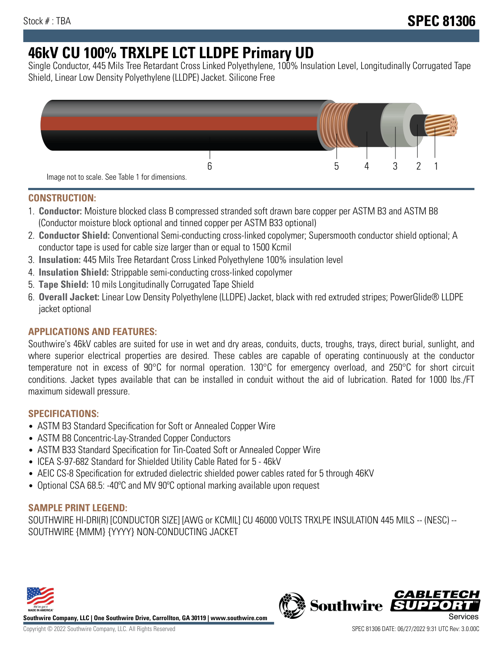# **46kV CU 100% TRXLPE LCT LLDPE Primary UD**

Single Conductor, 445 Mils Tree Retardant Cross Linked Polyethylene, 100% Insulation Level, Longitudinally Corrugated Tape Shield, Linear Low Density Polyethylene (LLDPE) Jacket. Silicone Free



### **CONSTRUCTION:**

- 1. **Conductor:** Moisture blocked class B compressed stranded soft drawn bare copper per ASTM B3 and ASTM B8 (Conductor moisture block optional and tinned copper per ASTM B33 optional)
- 2. **Conductor Shield:** Conventional Semi-conducting cross-linked copolymer; Supersmooth conductor shield optional; A conductor tape is used for cable size larger than or equal to 1500 Kcmil
- 3. **Insulation:** 445 Mils Tree Retardant Cross Linked Polyethylene 100% insulation level
- 4. **Insulation Shield:** Strippable semi-conducting cross-linked copolymer
- 5. **Tape Shield:** 10 mils Longitudinally Corrugated Tape Shield
- 6. **Overall Jacket:** Linear Low Density Polyethylene (LLDPE) Jacket, black with red extruded stripes; PowerGlide® LLDPE jacket optional

# **APPLICATIONS AND FEATURES:**

Southwire's 46kV cables are suited for use in wet and dry areas, conduits, ducts, troughs, trays, direct burial, sunlight, and where superior electrical properties are desired. These cables are capable of operating continuously at the conductor temperature not in excess of 90°C for normal operation. 130°C for emergency overload, and 250°C for short circuit conditions. Jacket types available that can be installed in conduit without the aid of lubrication. Rated for 1000 lbs./FT maximum sidewall pressure.

### **SPECIFICATIONS:**

- ASTM B3 Standard Specification for Soft or Annealed Copper Wire
- ASTM B8 Concentric-Lay-Stranded Copper Conductors
- ASTM B33 Standard Specification for Tin-Coated Soft or Annealed Copper Wire
- ICEA S-97-682 Standard for Shielded Utility Cable Rated for 5 46kV
- AEIC CS-8 Specification for extruded dielectric shielded power cables rated for 5 through 46KV
- Optional CSA 68.5: -40°C and MV 90°C optional marking available upon request

# **SAMPLE PRINT LEGEND:**

SOUTHWIRE HI-DRI(R) [CONDUCTOR SIZE] [AWG or KCMIL] CU 46000 VOLTS TRXLPE INSULATION 445 MILS -- (NESC) -- SOUTHWIRE {MMM} {YYYY} NON-CONDUCTING JACKET



**Southwire Company, LLC | One Southwire Drive, Carrollton, GA 30119 | www.southwire.com**